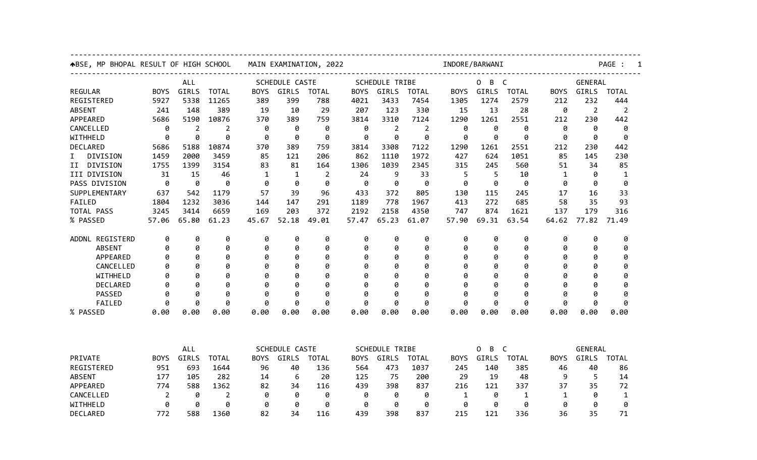| ABSE, MP BHOPAL RESULT OF HIGH SCHOOL |             |       |              | MAIN EXAMINATION, 2022 |              |                |                                                               |                       | INDORE/BARWANI |                      |                        |              |                |                | PAGE :<br>1    |  |  |
|---------------------------------------|-------------|-------|--------------|------------------------|--------------|----------------|---------------------------------------------------------------|-----------------------|----------------|----------------------|------------------------|--------------|----------------|----------------|----------------|--|--|
|                                       | <b>ALL</b>  |       |              | SCHEDULE CASTE         |              |                |                                                               | <b>SCHEDULE TRIBE</b> |                |                      | 0<br>B<br>$\mathsf{C}$ |              |                | <b>GENERAL</b> |                |  |  |
| <b>REGULAR</b>                        | <b>BOYS</b> | GIRLS | <b>TOTAL</b> | <b>BOYS</b>            | GIRLS        | <b>TOTAL</b>   | <b>BOYS</b>                                                   | GIRLS                 | <b>TOTAL</b>   | <b>BOYS</b>          | GIRLS                  | <b>TOTAL</b> | <b>BOYS</b>    | GIRLS          | <b>TOTAL</b>   |  |  |
| REGISTERED                            | 5927        | 5338  | 11265        | 389                    | 399          | 788            | 4021                                                          | 3433                  | 7454           | 1305                 | 1274                   | 2579         | 212            | 232            | 444            |  |  |
| <b>ABSENT</b>                         | 241         | 148   | 389          | 19                     | 10           | 29             | 207                                                           | 123                   | 330            | 15                   | 13                     | 28           | 0              | $\overline{2}$ | $\overline{2}$ |  |  |
| APPEARED                              | 5686        | 5190  | 10876        | 370                    | 389          | 759            | 3814                                                          | 3310                  | 7124           | 1290                 | 1261                   | 2551         | 212            | 230            | 442            |  |  |
| CANCELLED                             | 0           | 2     | 2            | 0                      | 0            | 0              | 0                                                             | 2                     | 2              | 0                    | 0                      | 0            | 0              | 0              | 0              |  |  |
| WITHHELD                              | 0           | 0     | 0            | 0                      | 0            | 0              | 0                                                             | 0                     | 0              | 0                    | 0                      | 0            | 0              | 0              | 0              |  |  |
| DECLARED                              | 5686        | 5188  | 10874        | 370                    | 389          | 759            | 3814                                                          | 3308                  | 7122           | 1290                 | 1261                   | 2551         | 212            | 230            | 442            |  |  |
| DIVISION<br>I.                        | 1459        | 2000  | 3459         | 85                     | 121          | 206            | 862                                                           | 1110                  | 1972           | 427                  | 624                    | 1051         | 85             | 145            | 230            |  |  |
| II DIVISION                           | 1755        | 1399  | 3154         | 83                     | 81           | 164            | 1306                                                          | 1039                  | 2345           | 315                  | 245                    | 560          | 51             | 34             | 85             |  |  |
| III DIVISION                          | 31          | 15    | 46           | 1                      | $\mathbf{1}$ | $\overline{2}$ | 24                                                            | 9                     | 33             | 5                    | 5                      | 10           | $\mathbf{1}$   | 0              | 1              |  |  |
| PASS DIVISION                         | 0           | 0     | 0            | 0                      | 0            | 0              | 0                                                             | 0                     | 0              | 0                    | 0                      | 0            | 0              | 0              | 0              |  |  |
| SUPPLEMENTARY                         | 637         | 542   | 1179         | 57                     | 39           | 96             | 433                                                           | 372                   | 805            | 130                  | 115                    | 245          | 17             | 16             | 33             |  |  |
| FAILED                                | 1804        | 1232  | 3036         | 144                    | 147          | 291            | 1189                                                          | 778                   | 1967           | 413                  | 272                    | 685          | 58             | 35             | 93             |  |  |
| TOTAL PASS                            | 3245        | 3414  | 6659         | 169                    | 203          | 372            | 2192                                                          | 2158                  | 4350           | 747                  | 874                    | 1621         | 137            | 179            | 316            |  |  |
| % PASSED                              | 57.06       | 65.80 | 61.23        | 45.67                  | 52.18        | 49.01          | 57.47                                                         | 65.23                 | 61.07          | 57.90                | 69.31                  | 63.54        | 64.62          | 77.82          | 71.49          |  |  |
| ADDNL REGISTERD                       | 0           | 0     | 0            | 0                      | 0            | 0              | 0                                                             | 0                     | 0              | 0                    | 0                      | 0            | 0              | 0              | 0              |  |  |
| <b>ABSENT</b>                         | 0           | 0     | 0            | 0                      | 0            | 0              | 0                                                             | 0                     | 0              | 0                    | 0                      | 0            | 0              | 0              | 0              |  |  |
| APPEARED                              | Ø           | 0     | 0            | Ø                      | 0            | 0              | 0                                                             | 0                     | 0              | 0                    | 0                      | 0            | 0              | 0              | 0              |  |  |
| CANCELLED                             | Ø           | 0     | 0            | Ø                      | 0            | 0              | 0                                                             | 0                     | 0              | 0                    | 0                      | 0            | 0              | 0              | 0              |  |  |
| WITHHELD                              | Ø           | ø     | 0            | Ø                      | 0            | 0              | 0                                                             | 0                     | 0              | Ø                    | 0                      | 0            | ø              | 0              | 0              |  |  |
| DECLARED                              | Ø           | ø     | 0            | Ø                      | 0            | 0              | 0                                                             | ø                     | ø              | Ø                    | 0                      | ø            | ø              | ø              | 0              |  |  |
| PASSED                                | 0           | Ø     | 0            | ø                      | 0            | 0              | 0                                                             | 0                     | 0              | ø                    | 0                      | 0            | ø              | 0              | ø              |  |  |
| FAILED                                | ø           | ø     | 0            | 0                      | 0            | 0              | 0                                                             | 0                     | 0              | 0                    | 0                      | 0            | 0              | 0              | 0              |  |  |
| % PASSED                              | 0.00        | 0.00  | 0.00         | 0.00                   | 0.00         | 0.00           | 0.00                                                          | 0.00                  | 0.00           | 0.00                 | 0.00                   | 0.00         | 0.00           | 0.00           | 0.00           |  |  |
|                                       |             |       |              |                        |              |                |                                                               |                       |                |                      |                        |              |                |                |                |  |  |
|                                       | ALL         |       |              | SCHEDULE CASTE         |              |                | <b>SCHEDULE TRIBE</b><br><b>BOYS</b><br>GIRLS<br><b>TOTAL</b> |                       |                | B<br>C<br>0<br>GIRLS |                        |              | <b>GENERAL</b> |                |                |  |  |
| PRIVATE                               | <b>BOYS</b> | GIRLS | <b>TOTAL</b> | <b>BOYS</b>            | GIRLS        | <b>TOTAL</b>   |                                                               |                       |                | <b>BOYS</b>          |                        | <b>TOTAL</b> | <b>BOYS</b>    | GIRLS          | <b>TOTAL</b>   |  |  |
| REGISTERED                            | 951         | 693   | 1644         | 96                     | 40           | 136            | 564                                                           | 473                   | 1037           | 245                  | 140                    | 385          | 46             | 40             | 86             |  |  |
| <b>ABSENT</b>                         | 177         | 105   | 282          | 14                     | 6            | 20             | 125                                                           | 75                    | 200            | 29                   | 19                     | 48           | 9              | 5              | 14             |  |  |
| APPEARED                              | 774         | 588   | 1362         | 82                     | 34           | 116            | 439                                                           | 398                   | 837            | 216                  | 121                    | 337          | 37             | 35             | 72             |  |  |
| CANCELLED                             | 2           | 0     | 2            | 0                      | 0            | 0              | 0                                                             | 0                     | 0              | 1                    | 0                      | 1            | 1              | 0              | 1              |  |  |
| WITHHELD                              | 0           | 0     | 0            | 0                      | 0            | 0              | 0                                                             | 0                     | 0              | 0                    | 0                      | 0            | 0              | 0              | 0              |  |  |
| DECLARED                              | 772         | 588   | 1360         | 82                     | 34           | 116            | 439                                                           | 398                   | 837            | 215                  | 121                    | 336          | 36             | 35             | 71             |  |  |